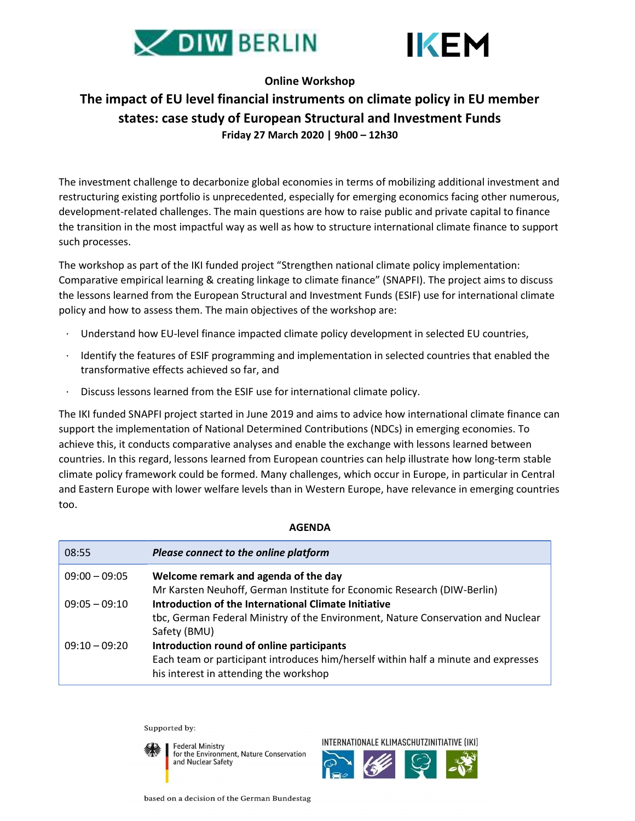



## Online Workshop

## The impact of EU level financial instruments on climate policy in EU member states: case study of European Structural and Investment Funds Friday 27 March 2020 | 9h00 – 12h30

The investment challenge to decarbonize global economies in terms of mobilizing additional investment and restructuring existing portfolio is unprecedented, especially for emerging economics facing other numerous, development-related challenges. The main questions are how to raise public and private capital to finance the transition in the most impactful way as well as how to structure international climate finance to support such processes.

The workshop as part of the IKI funded project "Strengthen national climate policy implementation: Comparative empirical learning & creating linkage to climate finance" (SNAPFI). The project aims to discuss the lessons learned from the European Structural and Investment Funds (ESIF) use for international climate policy and how to assess them. The main objectives of the workshop are:

- Understand how EU-level finance impacted climate policy development in selected EU countries,
- · Identify the features of ESIF programming and implementation in selected countries that enabled the transformative effects achieved so far, and
- · Discuss lessons learned from the ESIF use for international climate policy.

The IKI funded SNAPFI project started in June 2019 and aims to advice how international climate finance can support the implementation of National Determined Contributions (NDCs) in emerging economies. To achieve this, it conducts comparative analyses and enable the exchange with lessons learned between countries. In this regard, lessons learned from European countries can help illustrate how long-term stable climate policy framework could be formed. Many challenges, which occur in Europe, in particular in Central and Eastern Europe with lower welfare levels than in Western Europe, have relevance in emerging countries too.

## AGENDA

| 08:55           | Please connect to the online platform                                              |
|-----------------|------------------------------------------------------------------------------------|
| $09:00 - 09:05$ | Welcome remark and agenda of the day                                               |
|                 | Mr Karsten Neuhoff, German Institute for Economic Research (DIW-Berlin)            |
| $09:05 - 09:10$ | Introduction of the International Climate Initiative                               |
|                 | tbc, German Federal Ministry of the Environment, Nature Conservation and Nuclear   |
|                 | Safety (BMU)                                                                       |
| $09:10 - 09:20$ | Introduction round of online participants                                          |
|                 | Each team or participant introduces him/herself within half a minute and expresses |
|                 | his interest in attending the workshop                                             |

Supported by:

**Federal Ministry** for the Environment, Nature Conservation and Nuclear Safety

INTERNATIONALE KLIMASCHUTZINITIATIVE (IKI)



based on a decision of the German Bundestag